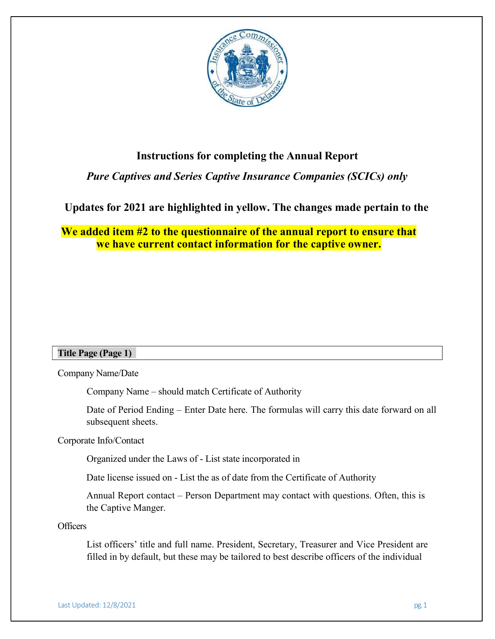

# Instructions for completing the Annual Report

# Pure Captives and Series Captive Insurance Companies (SCICs) only

# Updates for 2021 are highlighted in yellow. The changes made pertain to the

We added item #2 to the questionnaire of the annual report to ensure that we have current contact information for the captive owner.

## Title Page (Page 1)

Company Name/Date

Company Name – should match Certificate of Authority

Date of Period Ending – Enter Date here. The formulas will carry this date forward on all subsequent sheets.

Corporate Info/Contact

Organized under the Laws of - List state incorporated in

Date license issued on - List the as of date from the Certificate of Authority

Annual Report contact – Person Department may contact with questions. Often, this is the Captive Manger.

**Officers** 

List officers' title and full name. President, Secretary, Treasurer and Vice President are filled in by default, but these may be tailored to best describe officers of the individual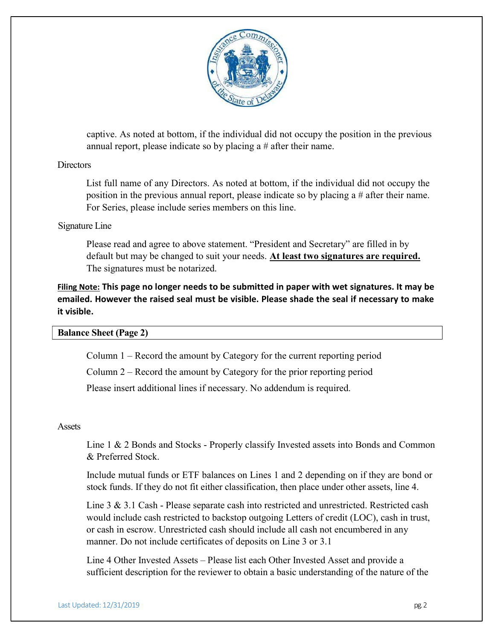

captive. As noted at bottom, if the individual did not occupy the position in the previous annual report, please indicate so by placing a # after their name.

## Directors

List full name of any Directors. As noted at bottom, if the individual did not occupy the position in the previous annual report, please indicate so by placing a # after their name. For Series, please include series members on this line.

## Signature Line

Please read and agree to above statement. "President and Secretary" are filled in by default but may be changed to suit your needs. At least two signatures are required. The signatures must be notarized.

Filing Note: This page no longer needs to be submitted in paper with wet signatures. It may be emailed. However the raised seal must be visible. Please shade the seal if necessary to make it visible.

## Balance Sheet (Page 2)

Column 1 – Record the amount by Category for the current reporting period

Column 2 – Record the amount by Category for the prior reporting period

Please insert additional lines if necessary. No addendum is required.

## **Assets**

Line 1 & 2 Bonds and Stocks - Properly classify Invested assets into Bonds and Common & Preferred Stock.

Include mutual funds or ETF balances on Lines 1 and 2 depending on if they are bond or stock funds. If they do not fit either classification, then place under other assets, line 4.

Line 3 & 3.1 Cash - Please separate cash into restricted and unrestricted. Restricted cash would include cash restricted to backstop outgoing Letters of credit (LOC), cash in trust, or cash in escrow. Unrestricted cash should include all cash not encumbered in any manner. Do not include certificates of deposits on Line 3 or 3.1

Line 4 Other Invested Assets – Please list each Other Invested Asset and provide a sufficient description for the reviewer to obtain a basic understanding of the nature of the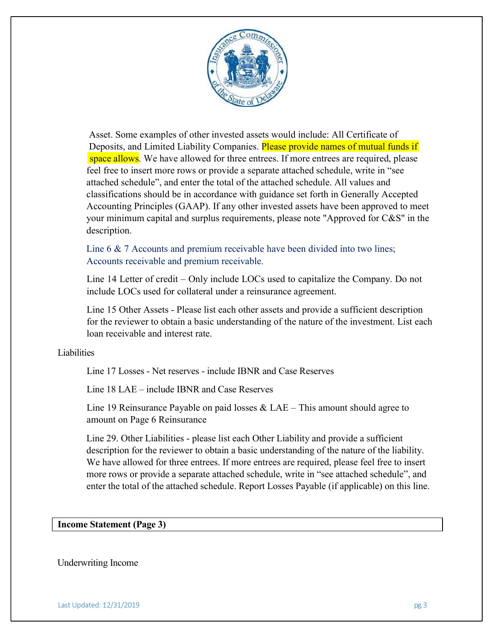

Asset. Some examples of other invested assets would include: All Certificate of Deposits, and Limited Liability Companies. Please provide names of mutual funds if space allows. We have allowed for three entrees. If more entrees are required, please feel free to insert more rows or provide a separate attached schedule, write in "see attached schedule", and enter the total of the attached schedule. All values and classifications should be in accordance with guidance set forth in Generally Accepted Accounting Principles (GAAP). If any other invested assets have been approved to meet your minimum capital and surplus requirements, please note "Approved for C&S" in the description.

Line 6 & 7 Accounts and premium receivable have been divided into two lines; Accounts receivable and premium receivable.

Line 14 Letter of credit – Only include LOCs used to capitalize the Company. Do not include LOCs used for collateral under a reinsurance agreement.

Line 15 Other Assets - Please list each other assets and provide a sufficient description for the reviewer to obtain a basic understanding of the nature of the investment. List each loan receivable and interest rate.

#### **Liabilities**

Line 17 Losses - Net reserves - include IBNR and Case Reserves

Line 18 LAE – include IBNR and Case Reserves

Line 19 Reinsurance Payable on paid losses & LAE – This amount should agree to amount on Page 6 Reinsurance

Line 29. Other Liabilities - please list each Other Liability and provide a sufficient description for the reviewer to obtain a basic understanding of the nature of the liability. We have allowed for three entrees. If more entrees are required, please feel free to insert more rows or provide a separate attached schedule, write in "see attached schedule", and enter the total of the attached schedule. Report Losses Payable (if applicable) on this line.

#### Income Statement (Page 3)

#### Underwriting Income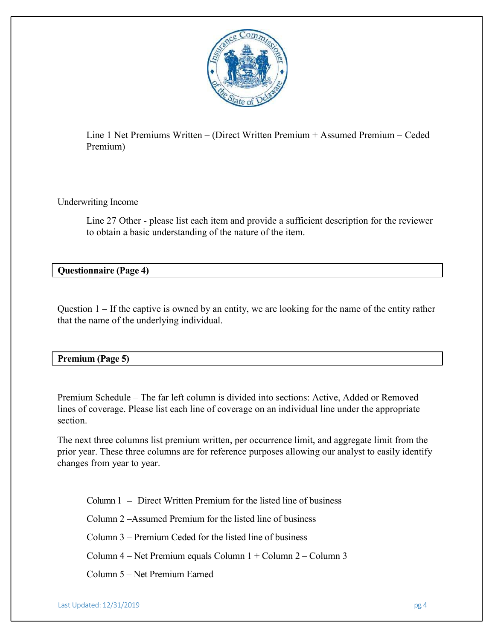

Line 1 Net Premiums Written – (Direct Written Premium + Assumed Premium – Ceded Premium)

Underwriting Income

Line 27 Other - please list each item and provide a sufficient description for the reviewer to obtain a basic understanding of the nature of the item.

Questionnaire (Page 4)

Question 1 – If the captive is owned by an entity, we are looking for the name of the entity rather that the name of the underlying individual.

| <b>Premium (Page 5)</b> |  |  |
|-------------------------|--|--|
|                         |  |  |

Premium Schedule – The far left column is divided into sections: Active, Added or Removed lines of coverage. Please list each line of coverage on an individual line under the appropriate section.

The next three columns list premium written, per occurrence limit, and aggregate limit from the prior year. These three columns are for reference purposes allowing our analyst to easily identify changes from year to year.

Column 1 – Direct Written Premium for the listed line of business

Column 2 –Assumed Premium for the listed line of business

Column 3 – Premium Ceded for the listed line of business

Column 4 – Net Premium equals Column 1 + Column 2 – Column 3

Column 5 – Net Premium Earned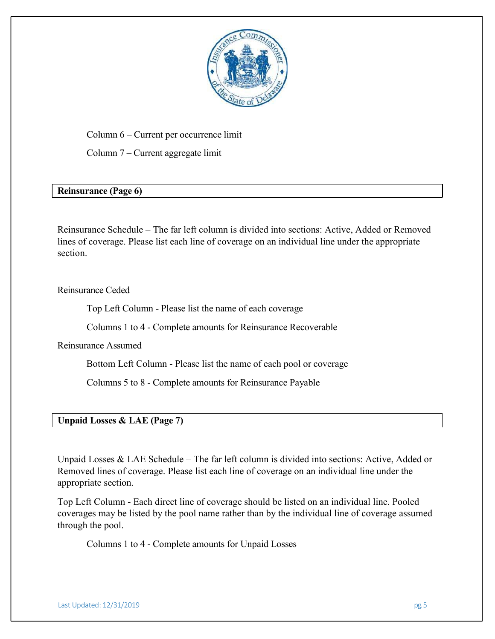

Column 6 – Current per occurrence limit

Column 7 – Current aggregate limit

## Reinsurance (Page 6)

Reinsurance Schedule – The far left column is divided into sections: Active, Added or Removed lines of coverage. Please list each line of coverage on an individual line under the appropriate section.

## Reinsurance Ceded

Top Left Column - Please list the name of each coverage

Columns 1 to 4 - Complete amounts for Reinsurance Recoverable

Reinsurance Assumed

Bottom Left Column - Please list the name of each pool or coverage

Columns 5 to 8 - Complete amounts for Reinsurance Payable

## Unpaid Losses & LAE (Page 7)

Unpaid Losses & LAE Schedule – The far left column is divided into sections: Active, Added or Removed lines of coverage. Please list each line of coverage on an individual line under the appropriate section.

Top Left Column - Each direct line of coverage should be listed on an individual line. Pooled coverages may be listed by the pool name rather than by the individual line of coverage assumed through the pool.

Columns 1 to 4 - Complete amounts for Unpaid Losses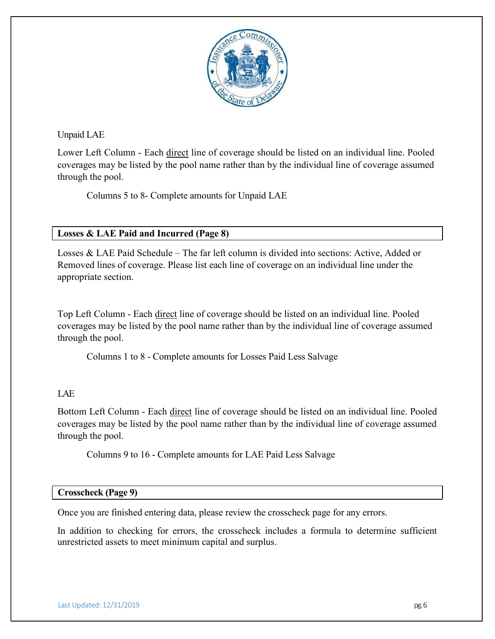

Unpaid LAE

Lower Left Column - Each direct line of coverage should be listed on an individual line. Pooled coverages may be listed by the pool name rather than by the individual line of coverage assumed through the pool.

Columns 5 to 8- Complete amounts for Unpaid LAE

## Losses & LAE Paid and Incurred (Page 8)

Losses & LAE Paid Schedule – The far left column is divided into sections: Active, Added or Removed lines of coverage. Please list each line of coverage on an individual line under the appropriate section.

Top Left Column - Each direct line of coverage should be listed on an individual line. Pooled coverages may be listed by the pool name rather than by the individual line of coverage assumed through the pool.

Columns 1 to 8 - Complete amounts for Losses Paid Less Salvage

## LAE

Bottom Left Column - Each direct line of coverage should be listed on an individual line. Pooled coverages may be listed by the pool name rather than by the individual line of coverage assumed through the pool.

Columns 9 to 16 - Complete amounts for LAE Paid Less Salvage

## Crosscheck (Page 9)

Once you are finished entering data, please review the crosscheck page for any errors.

In addition to checking for errors, the crosscheck includes a formula to determine sufficient unrestricted assets to meet minimum capital and surplus.